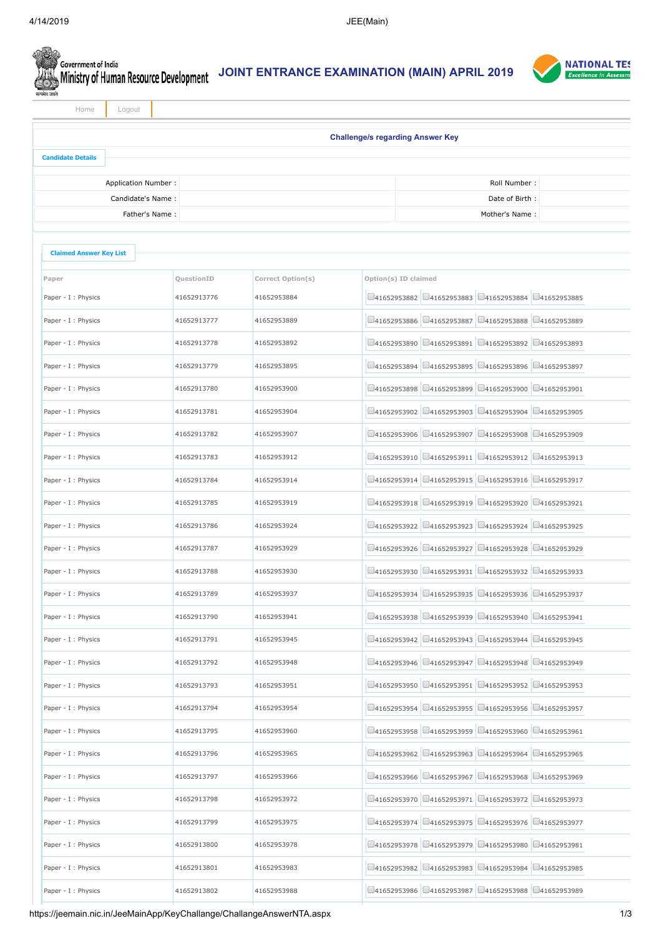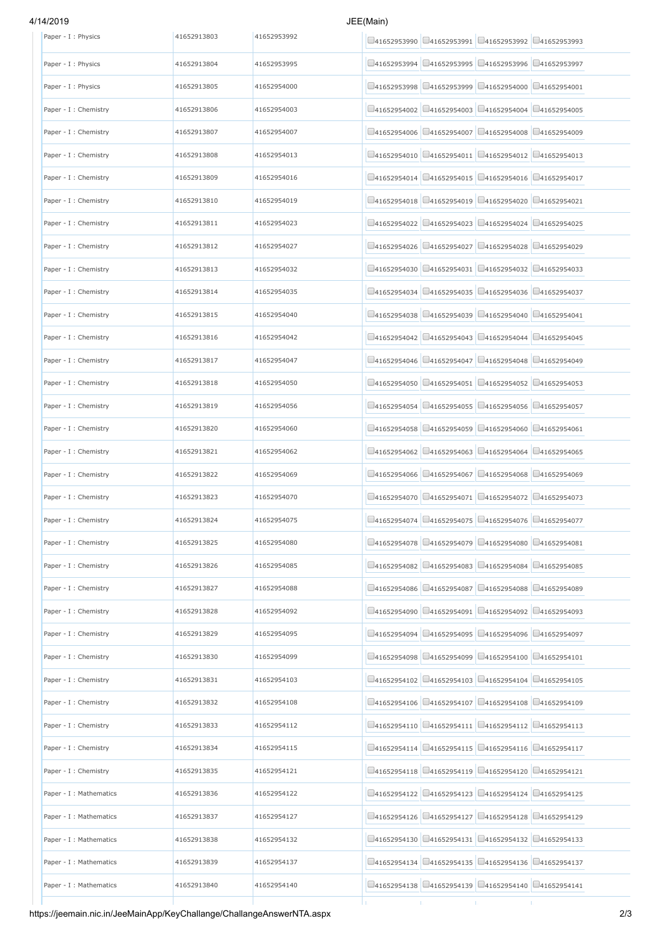## 4/14/2019 JE

| EE(Main) |  |  |
|----------|--|--|
|          |  |  |

| Paper - I : Physics     | 41652913803 | 41652953992 | $\Box$ 41652953990 $\Box$ 41652953991 $\Box$ 41652953992 $\Box$ 41652953993    |
|-------------------------|-------------|-------------|--------------------------------------------------------------------------------|
| Paper - I : Physics     | 41652913804 | 41652953995 | $\Box$ 41652953995 $\Box$ 41652953996 $\Box$ 41652953997<br>$\Box$ 41652953994 |
| Paper - I : Physics     | 41652913805 | 41652954000 | $\Box$ 41652954000 $\Box$ 41652954001<br>141652953998<br>141652953999          |
| Paper - I : Chemistry   | 41652913806 | 41652954003 | □41652954003 □41652954004 □41652954005<br>141652954002                         |
| Paper - I : Chemistry   | 41652913807 | 41652954007 | 141652954006<br>041652954007<br>$\Box$ 41652954008 $\Box$ 41652954009          |
| Paper - I : Chemistry   | 41652913808 | 41652954013 | □41652954011  □41652954012  □41652954013<br>141652954010                       |
| Paper - I : Chemistry   | 41652913809 | 41652954016 | $\Box$ 41652954015 $\Box$ 41652954016 $\Box$ 41652954017<br>$\Box$ 41652954014 |
| Paper - I : Chemistry   | 41652913810 | 41652954019 | □41652954019 □41652954020 □41652954021<br>141652954018                         |
| Paper - I : Chemistry   | 41652913811 | 41652954023 | $\Box$ 41652954023 $\Box$ 41652954024 $\Box$ 41652954025<br>141652954022       |
| Paper - I : Chemistry   | 41652913812 | 41652954027 | □41652954029<br>41652954026<br>141652954027<br>141652954028                    |
| Paper - I : Chemistry   | 41652913813 | 41652954032 | $\Box$ 41652954031 $\Box$ 41652954032 $\Box$ 41652954033<br>141652954030       |
| Paper - I : Chemistry   | 41652913814 | 41652954035 | □41652954036 □41652954037<br>141652954034<br>141652954035                      |
| Paper - I : Chemistry   | 41652913815 | 41652954040 | $\Box$ 41652954039 $\Box$ 41652954040 $\Box$ 41652954041<br>141652954038       |
| Paper - I : Chemistry   | 41652913816 | 41652954042 | $\Box$ 41652954043 $\Box$ 41652954044 $\Box$ 41652954045<br>41652954042        |
| Paper - I : Chemistry   | 41652913817 | 41652954047 | 41652954046<br>$\Box$ 41652954048 $\Box$ 41652954049<br>141652954047           |
| Paper - I : Chemistry   | 41652913818 | 41652954050 | $\Box$ 41652954051 $\Box$ 41652954052 $\Box$ 41652954053<br>141652954050       |
| Paper - I : Chemistry   | 41652913819 | 41652954056 | $\Box$ 41652954056 $\Box$ 41652954057<br>141652954054<br>$\Box$ 41652954055    |
| Paper - I : Chemistry   | 41652913820 | 41652954060 | $\Box$ 41652954059 $\Box$ 41652954060 $\Box$ 41652954061<br>41652954058        |
| Paper - I : Chemistry   | 41652913821 | 41652954062 | $\Box$ 41652954063 $\Box$ 41652954064 $\Box$ 41652954065<br>$\Box$ 41652954062 |
| Paper - I : Chemistry   | 41652913822 | 41652954069 | $\Box$ 41652954067 $\Box$ 41652954068 $\Box$ 41652954069<br>41652954066        |
| Paper - I : Chemistry   | 41652913823 | 41652954070 | □41652954071 □41652954072 □41652954073<br>41652954070                          |
| Paper - I : Chemistry   | 41652913824 | 41652954075 | $\Box$ 41652954074 $\Box$ 41652954075 $\Box$ 41652954076 $\Box$ 41652954077    |
| Paper - I : Chemistry   |             |             |                                                                                |
|                         | 41652913825 | 41652954080 | $\Box$ 41652954079 $\Box$ 41652954080 $\Box$ 41652954081<br>141652954078       |
| Paper - I : Chemistry   | 41652913826 | 41652954085 | 141652954082<br>$\square$ 41652954083<br>$\Box$ 41652954084 $\Box$ 41652954085 |
| Paper - I : Chemistry   | 41652913827 | 41652954088 | 41652954087<br>$\Box$ 41652954088 $\Box$ 41652954089<br>141652954086           |
| Paper - I : Chemistry   | 41652913828 | 41652954092 | $\Box$ 41652954091 $\Box$ 41652954092 $\Box$ 41652954093<br>41652954090        |
| Paper - I : Chemistry   | 41652913829 | 41652954095 | $\Box$ 41652954096 $\Box$ 41652954097<br>141652954094<br>$\bigcup$ 41652954095 |
| Paper - I : Chemistry   | 41652913830 | 41652954099 | $\Box$ 41652954100 $\Box$ 41652954101<br>$Q$ 41652954098<br>$\Box$ 41652954099 |
| Paper - I : Chemistry   | 41652913831 | 41652954103 | 141652954102<br>141652954103<br>141652954104<br>□41652954105                   |
| Paper - I : Chemistry   | 41652913832 | 41652954108 | $\Box$ 41652954107 $\Box$ 41652954108 $\Box$ 41652954109<br>141652954106       |
| Paper - I : Chemistry   | 41652913833 | 41652954112 | 141652954110<br>$\Box$ 41652954111<br>$\Box$ 41652954112 $\Box$ 41652954113    |
| Paper - I : Chemistry   | 41652913834 | 41652954115 | $\Box$ 41652954115 $\Box$ 41652954116 $\Box$ 41652954117<br>141652954114       |
| Paper - I : Chemistry   | 41652913835 | 41652954121 | $\Box$ 41652954119 $\Box$ 41652954120 $\Box$ 41652954121<br>41652954118        |
| Paper - I : Mathematics | 41652913836 | 41652954122 | 141652954122<br>$\Box$ 41652954123<br>$\Box$ 41652954124 $\Box$ 41652954125    |
| Paper - I : Mathematics | 41652913837 | 41652954127 | 141652954126<br>141652954127<br>$\Box$ 41652954128 $\Box$ 41652954129          |
| Paper - I : Mathematics | 41652913838 | 41652954132 | $\Box$ 41652954132 $\Box$ 41652954133<br>141652954130<br>141652954131          |
| Paper - I : Mathematics | 41652913839 | 41652954137 | □41652954135 □41652954136 □41652954137<br>141652954134                         |
| Paper - I : Mathematics | 41652913840 | 41652954140 | $\Box$ 41652954138 $\Box$ 41652954139 $\Box$ 41652954140 $\Box$ 41652954141    |